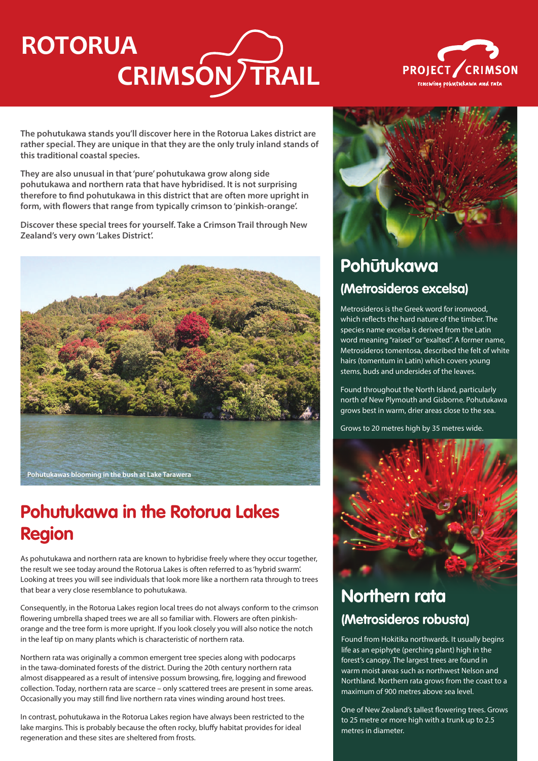# **CRIMSON TRAIL ROTORUA**



**The pohutukawa stands you'll discover here in the Rotorua Lakes district are rather special. They are unique in that they are the only truly inland stands of this traditional coastal species.** 

**They are also unusual in that 'pure' pohutukawa grow along side pohutukawa and northern rata that have hybridised. It is not surprising therefore to find pohutukawa in this district that are often more upright in form, with flowers that range from typically crimson to 'pinkish-orange'.**

**Discover these special trees for yourself. Take a Crimson Trail through New Zealand's very own 'Lakes District'.**



# **Pohutukawa in the Rotorua Lakes Region**

As pohutukawa and northern rata are known to hybridise freely where they occur together, the result we see today around the Rotorua Lakes is often referred to as 'hybrid swarm'. Looking at trees you will see individuals that look more like a northern rata through to trees that bear a very close resemblance to pohutukawa.

Consequently, in the Rotorua Lakes region local trees do not always conform to the crimson flowering umbrella shaped trees we are all so familiar with. Flowers are often pinkishorange and the tree form is more upright. If you look closely you will also notice the notch in the leaf tip on many plants which is characteristic of northern rata.

Northern rata was originally a common emergent tree species along with podocarps in the tawa-dominated forests of the district. During the 20th century northern rata almost disappeared as a result of intensive possum browsing, fire, logging and firewood collection. Today, northern rata are scarce – only scattered trees are present in some areas. Occasionally you may still find live northern rata vines winding around host trees.

In contrast, pohutukawa in the Rotorua Lakes region have always been restricted to the lake margins. This is probably because the often rocky, bluffy habitat provides for ideal regeneration and these sites are sheltered from frosts.



# **Pohūtukawa (Metrosideros excelsa)**

Metrosideros is the Greek word for ironwood, which reflects the hard nature of the timber. The species name excelsa is derived from the Latin word meaning "raised" or "exalted". A former name, Metrosideros tomentosa, described the felt of white hairs (tomentum in Latin) which covers young stems, buds and undersides of the leaves.

Found throughout the North Island, particularly north of New Plymouth and Gisborne. Pohutukawa grows best in warm, drier areas close to the sea.

Grows to 20 metres high by 35 metres wide.



### **Northern rata (Metrosideros robusta)**

Found from Hokitika northwards. It usually begins life as an epiphyte (perching plant) high in the forest's canopy. The largest trees are found in warm moist areas such as northwest Nelson and Northland. Northern rata grows from the coast to a maximum of 900 metres above sea level.

One of New Zealand's tallest flowering trees. Grows to 25 metre or more high with a trunk up to 2.5 metres in diameter.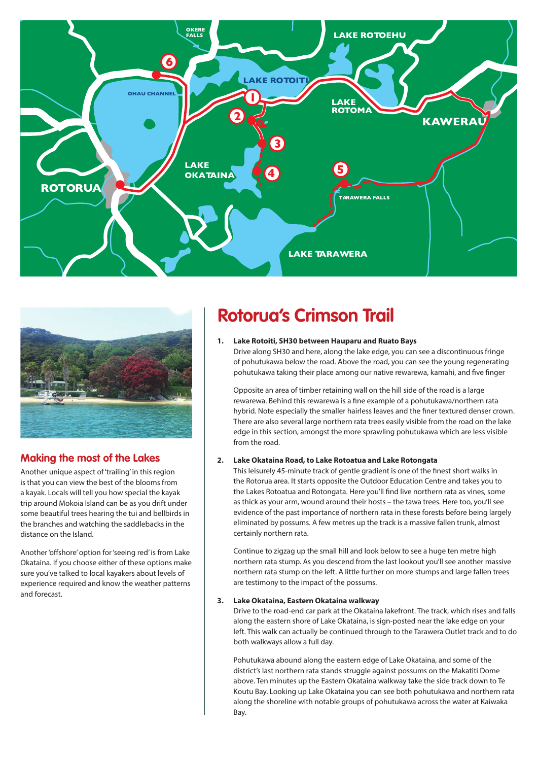



### **Making the most of the Lakes**

Another unique aspect of 'trailing' in this region is that you can view the best of the blooms from a kayak. Locals will tell you how special the kayak trip around Mokoia Island can be as you drift under some beautiful trees hearing the tui and bellbirds in the branches and watching the saddlebacks in the distance on the Island.

Another 'offshore' option for 'seeing red' is from Lake Okataina. If you choose either of these options make sure you've talked to local kayakers about levels of experience required and know the weather patterns and forecast.

## **Rotorua's Crimson Trail**

#### **1. Lake Rotoiti, SH30 between Hauparu and Ruato Bays**

Drive along SH30 and here, along the lake edge, you can see a discontinuous fringe of pohutukawa below the road. Above the road, you can see the young regenerating pohutukawa taking their place among our native rewarewa, kamahi, and five finger

Opposite an area of timber retaining wall on the hill side of the road is a large rewarewa. Behind this rewarewa is a fine example of a pohutukawa/northern rata hybrid. Note especially the smaller hairless leaves and the finer textured denser crown. There are also several large northern rata trees easily visible from the road on the lake edge in this section, amongst the more sprawling pohutukawa which are less visible from the road.

#### **2. Lake Okataina Road, to Lake Rotoatua and Lake Rotongata**

This leisurely 45-minute track of gentle gradient is one of the finest short walks in the Rotorua area. It starts opposite the Outdoor Education Centre and takes you to the Lakes Rotoatua and Rotongata. Here you'll find live northern rata as vines, some as thick as your arm, wound around their hosts – the tawa trees. Here too, you'll see evidence of the past importance of northern rata in these forests before being largely eliminated by possums. A few metres up the track is a massive fallen trunk, almost certainly northern rata.

Continue to zigzag up the small hill and look below to see a huge ten metre high northern rata stump. As you descend from the last lookout you'll see another massive northern rata stump on the left. A little further on more stumps and large fallen trees are testimony to the impact of the possums.

#### **3. Lake Okataina, Eastern Okataina walkway**

Drive to the road-end car park at the Okataina lakefront. The track, which rises and falls along the eastern shore of Lake Okataina, is sign-posted near the lake edge on your left. This walk can actually be continued through to the Tarawera Outlet track and to do both walkways allow a full day.

Pohutukawa abound along the eastern edge of Lake Okataina, and some of the district's last northern rata stands struggle against possums on the Makatiti Dome above. Ten minutes up the Eastern Okataina walkway take the side track down to Te Koutu Bay. Looking up Lake Okataina you can see both pohutukawa and northern rata along the shoreline with notable groups of pohutukawa across the water at Kaiwaka Bay.